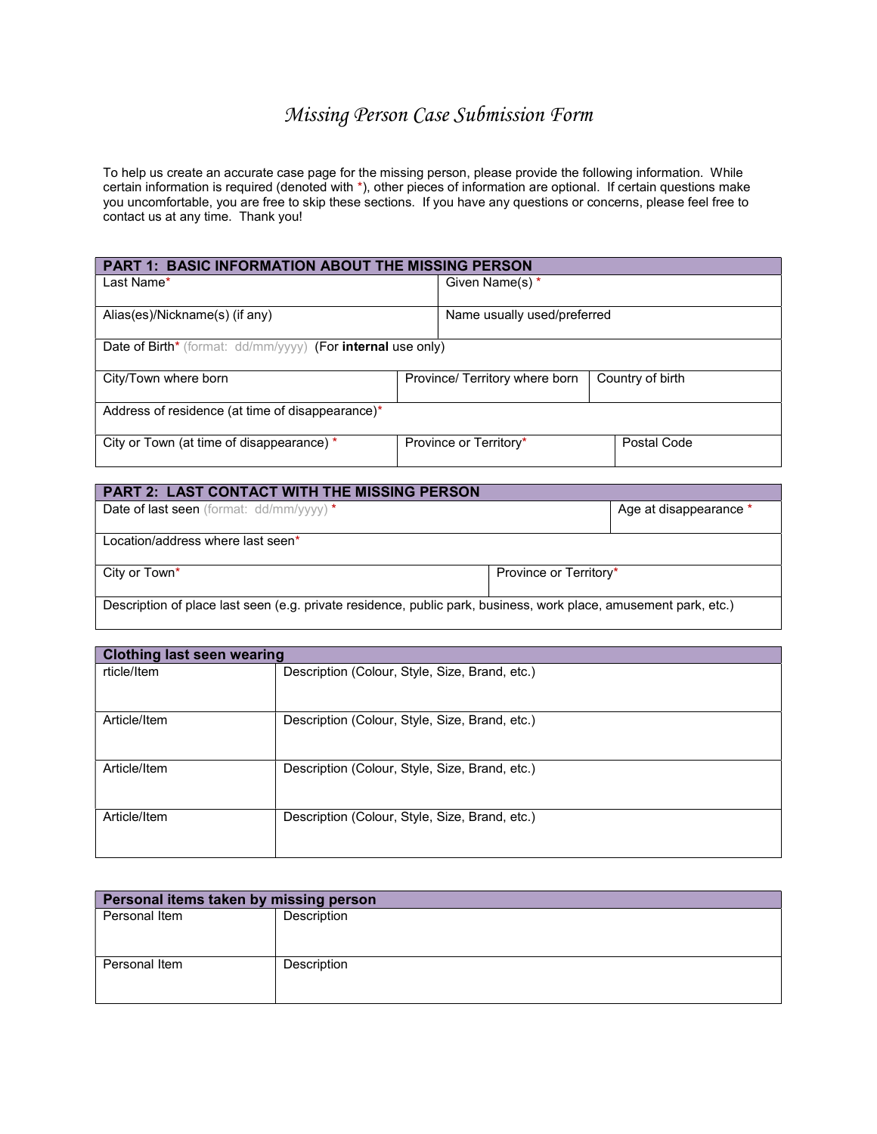# Missing Person Case Submission Form

To help us create an accurate case page for the missing person, please provide the following information. While certain information is required (denoted with \*), other pieces of information are optional. If certain questions make you uncomfortable, you are free to skip these sections. If you have any questions or concerns, please feel free to contact us at any time. Thank you!

| <b>PART 1: BASIC INFORMATION ABOUT THE MISSING PERSON</b>   |                                |                             |                  |  |
|-------------------------------------------------------------|--------------------------------|-----------------------------|------------------|--|
| Last Name*                                                  |                                | Given Name(s) *             |                  |  |
| Alias(es)/Nickname(s) (if any)                              |                                | Name usually used/preferred |                  |  |
| Date of Birth* (format: dd/mm/yyyy) (For internal use only) |                                |                             |                  |  |
| City/Town where born                                        | Province/ Territory where born |                             | Country of birth |  |
| Address of residence (at time of disappearance)*            |                                |                             |                  |  |
| City or Town (at time of disappearance) *                   |                                | Province or Territory*      | Postal Code      |  |

| <b>PART 2: LAST CONTACT WITH THE MISSING PERSON</b>                                                              |                        |                        |  |
|------------------------------------------------------------------------------------------------------------------|------------------------|------------------------|--|
| Date of last seen (format: dd/mm/yyyy) *                                                                         |                        | Age at disappearance * |  |
|                                                                                                                  |                        |                        |  |
| Location/address where last seen*                                                                                |                        |                        |  |
|                                                                                                                  |                        |                        |  |
| City or Town <sup>*</sup>                                                                                        | Province or Territory* |                        |  |
|                                                                                                                  |                        |                        |  |
| Description of place last seen (e.g. private residence, public park, business, work place, amusement park, etc.) |                        |                        |  |
|                                                                                                                  |                        |                        |  |

| <b>Clothing last seen wearing</b> |                                                |
|-----------------------------------|------------------------------------------------|
| rticle/Item                       | Description (Colour, Style, Size, Brand, etc.) |
| Article/Item                      | Description (Colour, Style, Size, Brand, etc.) |
| Article/Item                      | Description (Colour, Style, Size, Brand, etc.) |
| Article/Item                      | Description (Colour, Style, Size, Brand, etc.) |

| Personal items taken by missing person |             |  |
|----------------------------------------|-------------|--|
| Personal Item                          | Description |  |
| Personal Item                          | Description |  |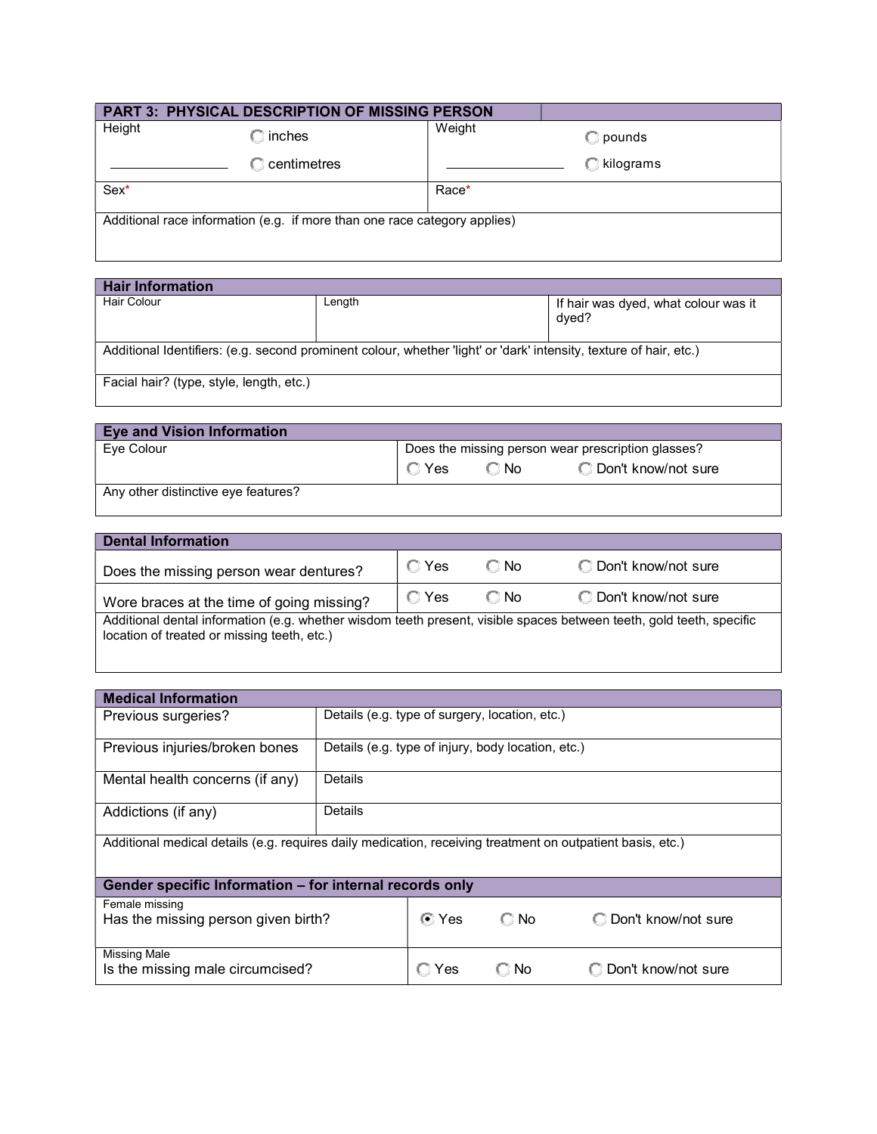| <b>PART 3: PHYSICAL DESCRIPTION OF MISSING PERSON</b>                     |                                     |        |               |
|---------------------------------------------------------------------------|-------------------------------------|--------|---------------|
| Height                                                                    | $\mathbb{C}$ inches                 | Weight | $\Box$ pounds |
|                                                                           | $\mathbb C$ centimetres $\mathbb C$ |        | C kilograms   |
| Sex*                                                                      |                                     | Race*  |               |
| Additional race information (e.g. if more than one race category applies) |                                     |        |               |

| <b>Hair Information</b>                                                                                            |        |                                               |  |
|--------------------------------------------------------------------------------------------------------------------|--------|-----------------------------------------------|--|
| <b>Hair Colour</b>                                                                                                 | Length | If hair was dyed, what colour was it<br>dyed? |  |
| Additional Identifiers: (e.g. second prominent colour, whether 'light' or 'dark' intensity, texture of hair, etc.) |        |                                               |  |
| Facial hair? (type, style, length, etc.)                                                                           |        |                                               |  |

| <b>Eye and Vision Information</b>   |                                                    |        |                       |
|-------------------------------------|----------------------------------------------------|--------|-----------------------|
| Eve Colour                          | Does the missing person wear prescription glasses? |        |                       |
|                                     | $\Box$ Yes                                         | C⊟No ∶ | O Don't know/not sure |
| Any other distinctive eye features? |                                                    |        |                       |

| <b>Dental Information</b>                                                                                                                                           |                |               |                       |
|---------------------------------------------------------------------------------------------------------------------------------------------------------------------|----------------|---------------|-----------------------|
| Does the missing person wear dentures?                                                                                                                              | $\bigcirc$ Yes | $\Box$ No     | C Don't know/not sure |
| Wore braces at the time of going missing?                                                                                                                           | $\bigcirc$ Yes | $\bigcirc$ No | O Don't know/not sure |
| Additional dental information (e.g. whether wisdom teeth present, visible spaces between teeth, gold teeth, specific<br>location of treated or missing teeth, etc.) |                |               |                       |

| <b>Medical Information</b>                                                                                 |                                                    |     |                |                     |
|------------------------------------------------------------------------------------------------------------|----------------------------------------------------|-----|----------------|---------------------|
| Previous surgeries?                                                                                        | Details (e.g. type of surgery, location, etc.)     |     |                |                     |
| Previous injuries/broken bones                                                                             | Details (e.g. type of injury, body location, etc.) |     |                |                     |
| Mental health concerns (if any)                                                                            | Details                                            |     |                |                     |
| Addictions (if any)                                                                                        | Details                                            |     |                |                     |
| Additional medical details (e.g. requires daily medication, receiving treatment on outpatient basis, etc.) |                                                    |     |                |                     |
| Gender specific Information - for internal records only                                                    |                                                    |     |                |                     |
| Female missing<br><i></i> Yes<br>Has the missing person given birth?<br>$\Box$ No<br>C Don't know/not sure |                                                    |     |                |                     |
| <b>Missing Male</b><br>Is the missing male circumcised?                                                    |                                                    | Yes | $\mathbb C$ No | Don't know/not sure |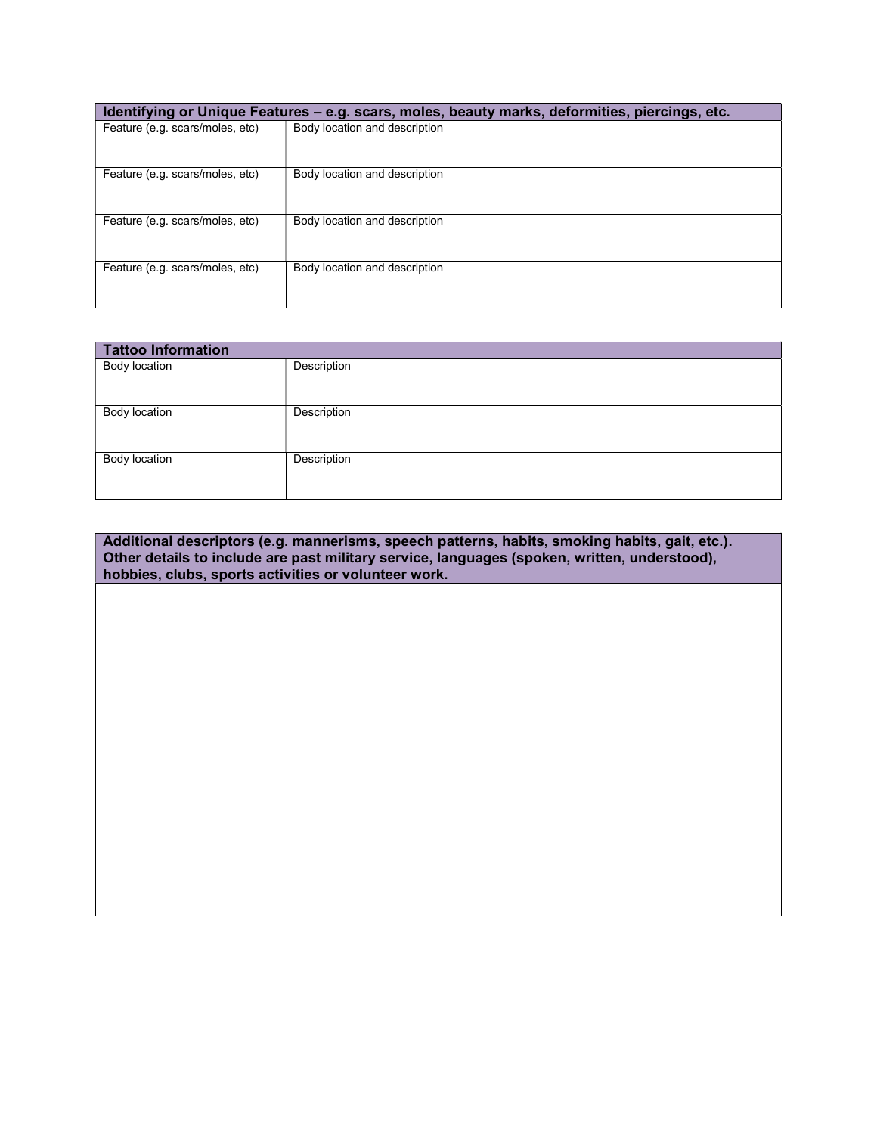|                                 | Identifying or Unique Features - e.g. scars, moles, beauty marks, deformities, piercings, etc. |
|---------------------------------|------------------------------------------------------------------------------------------------|
| Feature (e.g. scars/moles, etc) | Body location and description                                                                  |
|                                 |                                                                                                |
| Feature (e.g. scars/moles, etc) | Body location and description                                                                  |
|                                 |                                                                                                |
| Feature (e.g. scars/moles, etc) | Body location and description                                                                  |
|                                 |                                                                                                |
| Feature (e.g. scars/moles, etc) | Body location and description                                                                  |
|                                 |                                                                                                |

| <b>Tattoo Information</b> |             |
|---------------------------|-------------|
| <b>Body location</b>      | Description |
| <b>Body location</b>      | Description |
| <b>Body location</b>      | Description |

Additional descriptors (e.g. mannerisms, speech patterns, habits, smoking habits, gait, etc.). Other details to include are past military service, languages (spoken, written, understood), hobbies, clubs, sports activities or volunteer work.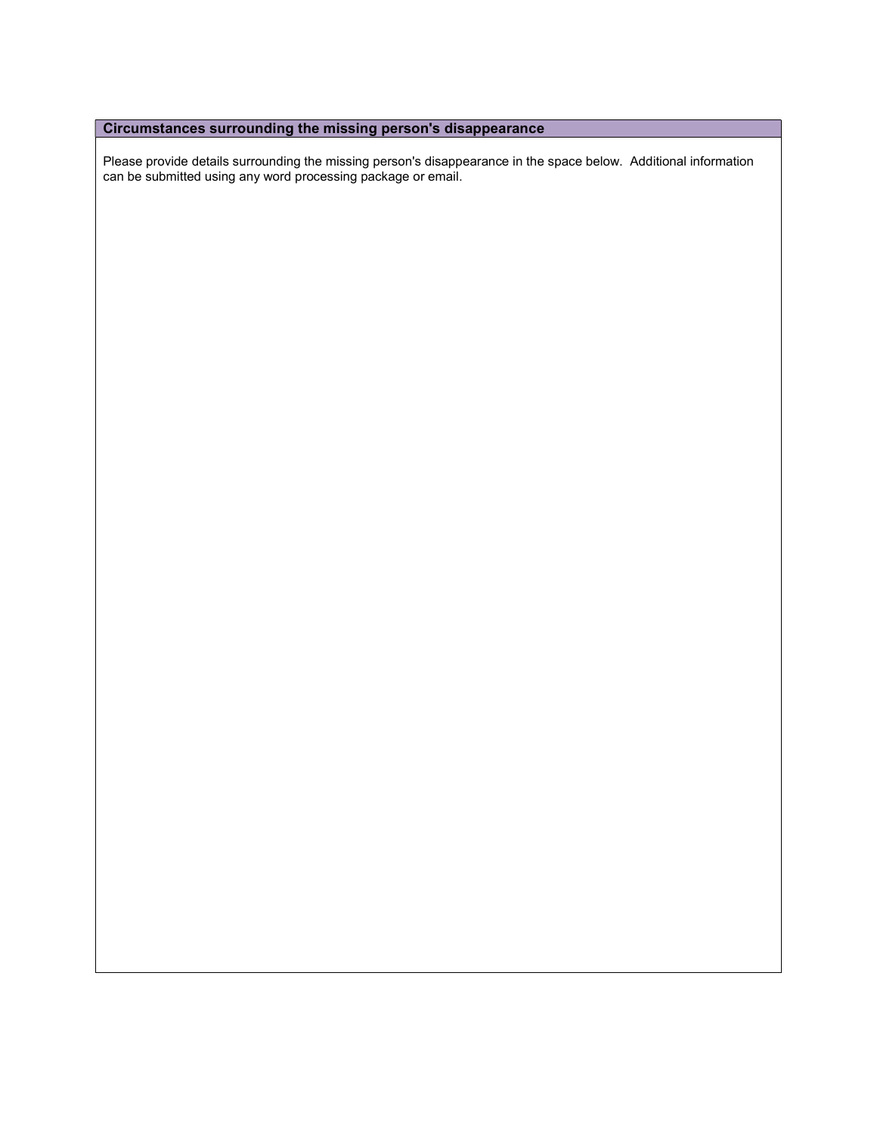### Circumstances surrounding the missing person's disappearance

Please provide details surrounding the missing person's disappearance in the space below. Additional information can be submitted using any word processing package or email.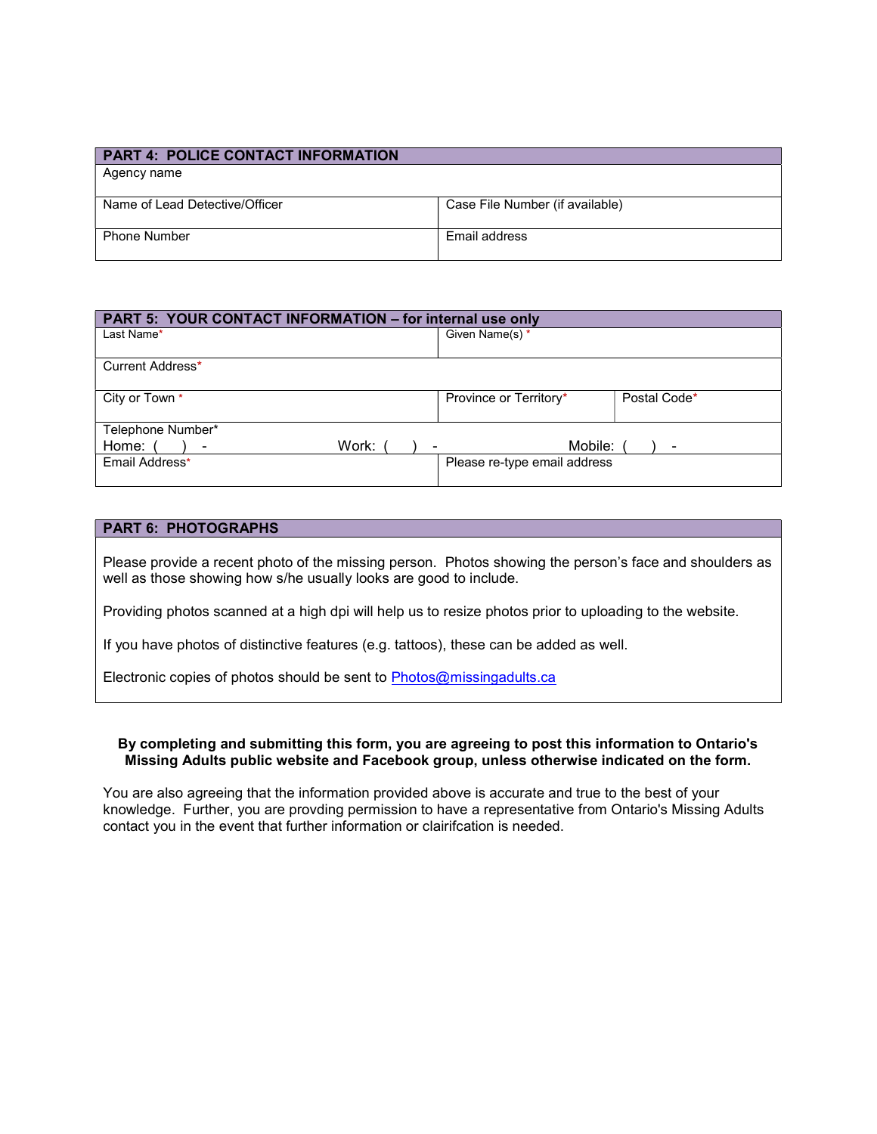| <b>PART 4: POLICE CONTACT INFORMATION</b> |                                 |
|-------------------------------------------|---------------------------------|
| Agency name                               |                                 |
|                                           |                                 |
| Name of Lead Detective/Officer            | Case File Number (if available) |
| <b>Phone Number</b>                       | <b>Fmail address</b>            |

| PART 5: YOUR CONTACT INFORMATION - for internal use only |                              |              |  |  |  |
|----------------------------------------------------------|------------------------------|--------------|--|--|--|
| Last Name*                                               | Given Name(s) *              |              |  |  |  |
|                                                          |                              |              |  |  |  |
| Current Address*                                         |                              |              |  |  |  |
|                                                          |                              |              |  |  |  |
| City or Town *                                           | Province or Territory*       | Postal Code* |  |  |  |
| Telephone Number*                                        |                              |              |  |  |  |
| Work:<br>Home:                                           | Mobile:                      |              |  |  |  |
| Email Address*                                           | Please re-type email address |              |  |  |  |
|                                                          |                              |              |  |  |  |

#### PART 6: PHOTOGRAPHS

Please provide a recent photo of the missing person. Photos showing the person's face and shoulders as well as those showing how s/he usually looks are good to include.

Providing photos scanned at a high dpi will help us to resize photos prior to uploading to the website.

If you have photos of distinctive features (e.g. tattoos), these can be added as well.

Electronic copies of photos should be sent to Photos@missingadults.ca

#### By completing and submitting this form, you are agreeing to post this information to Ontario's Missing Adults public website and Facebook group, unless otherwise indicated on the form.

You are also agreeing that the information provided above is accurate and true to the best of your knowledge. Further, you are provding permission to have a representative from Ontario's Missing Adults contact you in the event that further information or clairifcation is needed.